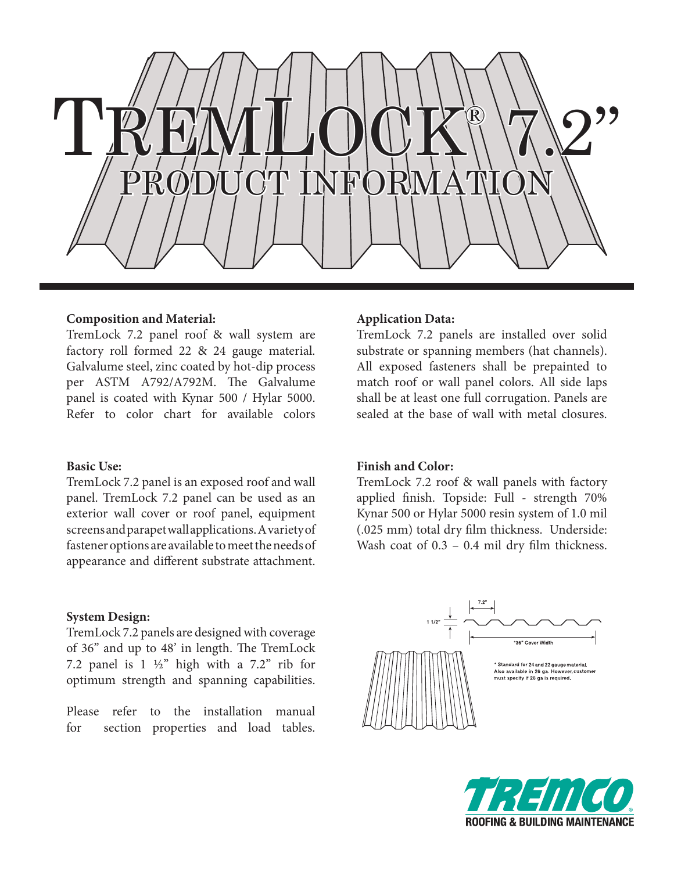

### **Composition and Material:**

TremLock 7.2 panel roof & wall system are factory roll formed 22 & 24 gauge material. Galvalume steel, zinc coated by hot-dip process per ASTM A792/A792M. The Galvalume panel is coated with Kynar 500 / Hylar 5000. Refer to color chart for available colors

### **Basic Use:**

TremLock 7.2 panel is an exposed roof and wall panel. TremLock 7.2 panel can be used as an exterior wall cover or roof panel, equipment screens and parapet wall applications. A variety of fastener options are available to meet the needs of appearance and different substrate attachment.

# **System Design:**

TremLock 7.2 panels are designed with coverage of 36" and up to 48' in length. The TremLock 7.2 panel is  $1 \frac{1}{2}$ " high with a 7.2" rib for optimum strength and spanning capabilities.

Please refer to the installation manual for section properties and load tables.

### **Application Data:**

TremLock 7.2 panels are installed over solid substrate or spanning members (hat channels). All exposed fasteners shall be prepainted to match roof or wall panel colors. All side laps shall be at least one full corrugation. Panels are sealed at the base of wall with metal closures.

## **Finish and Color:**

TremLock 7.2 roof & wall panels with factory applied finish. Topside: Full - strength 70% Kynar 500 or Hylar 5000 resin system of 1.0 mil (.025 mm) total dry film thickness. Underside: Wash coat of  $0.3 - 0.4$  mil dry film thickness.